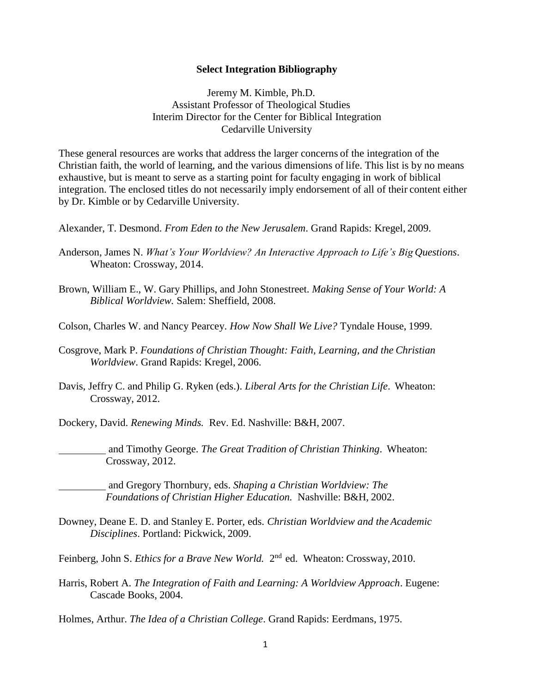## **Select Integration Bibliography**

Jeremy M. Kimble, Ph.D. Assistant Professor of Theological Studies Interim Director for the Center for Biblical Integration Cedarville University

These general resources are works that address the larger concerns of the integration of the Christian faith, the world of learning, and the various dimensions of life. This list is by no means exhaustive, but is meant to serve as a starting point for faculty engaging in work of biblical integration. The enclosed titles do not necessarily imply endorsement of all of their content either by Dr. Kimble or by Cedarville University.

Alexander, T. Desmond. *From Eden to the New Jerusalem*. Grand Rapids: Kregel, 2009.

- Anderson, James N. *What's Your Worldview? An Interactive Approach to Life's Big Questions*. Wheaton: Crossway, 2014.
- Brown, William E., W. Gary Phillips, and John Stonestreet. *Making Sense of Your World: A Biblical Worldview.* Salem: Sheffield, 2008.
- Colson, Charles W. and Nancy Pearcey. *How Now Shall We Live?* Tyndale House, 1999.
- Cosgrove, Mark P. *Foundations of Christian Thought: Faith, Learning, and the Christian Worldview*. Grand Rapids: Kregel, 2006.
- Davis, Jeffry C. and Philip G. Ryken (eds.). *Liberal Arts for the Christian Life*. Wheaton: Crossway, 2012.
- Dockery, David. *Renewing Minds.* Rev. Ed. Nashville: B&H, 2007.
- and Timothy George. *The Great Tradition of Christian Thinking*. Wheaton: Crossway, 2012.
	- and Gregory Thornbury, eds. *Shaping a Christian Worldview: The Foundations of Christian Higher Education.* Nashville: B&H, 2002.
- Downey, Deane E. D. and Stanley E. Porter, eds. *Christian Worldview and the Academic Disciplines*. Portland: Pickwick, 2009.
- Feinberg, John S. *Ethics for a Brave New World*. 2<sup>nd</sup> ed. Wheaton: Crossway, 2010.
- Harris, Robert A. *The Integration of Faith and Learning: A Worldview Approach*. Eugene: Cascade Books, 2004.

Holmes, Arthur. *The Idea of a Christian College*. Grand Rapids: Eerdmans, 1975.